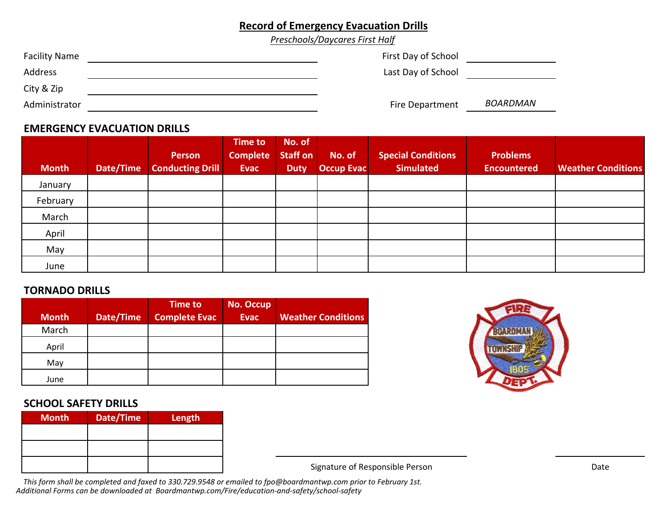# **Record of Emergency Evacuation Drills**

*Preschools/Daycares First Half*

| <b>Facility Name</b> | First Day of School |          |
|----------------------|---------------------|----------|
| Address              | Last Day of School  |          |
| City & Zip           |                     |          |
| Administrator        | Fire Department     | BOARDMAN |

# **EMERGENCY EVACUATION DRILLS**

|              |           | <b>Person</b>           | <b>Time to</b><br><b>Complete</b> | No. of<br><b>Staff on</b> | No. of            | Special Conditions | <b>Problems</b>    |                           |
|--------------|-----------|-------------------------|-----------------------------------|---------------------------|-------------------|--------------------|--------------------|---------------------------|
| <b>Month</b> | Date/Time | <b>Conducting Drill</b> | <b>Evac</b>                       | <b>Duty</b>               | <b>Occup Evac</b> | <b>Simulated</b>   | <b>Encountered</b> | <b>Weather Conditions</b> |
| January      |           |                         |                                   |                           |                   |                    |                    |                           |
| February     |           |                         |                                   |                           |                   |                    |                    |                           |
| March        |           |                         |                                   |                           |                   |                    |                    |                           |
| April        |           |                         |                                   |                           |                   |                    |                    |                           |
| May          |           |                         |                                   |                           |                   |                    |                    |                           |
| June         |           |                         |                                   |                           |                   |                    |                    |                           |

#### **TORNADO DRILLS**

| <b>Month</b> | Date/Time | <b>Time to</b><br><b>Complete Evac</b> | <b>No. Occup</b><br><b>Evac</b> | <b>Weather Conditions</b> |
|--------------|-----------|----------------------------------------|---------------------------------|---------------------------|
| March        |           |                                        |                                 |                           |
| April        |           |                                        |                                 |                           |
| May          |           |                                        |                                 |                           |
| June         |           |                                        |                                 |                           |

# **SCHOOL SAFETY DRILLS**

| <b>Month</b> | Date/Time | Length |
|--------------|-----------|--------|
|              |           |        |
|              |           |        |
|              |           |        |



Signature of Responsible Person

This form shall be completed and faxed to 330.729.9548 or emailed to fpo@boardmantwp.com prior to February 1st. *Additional Forms can be downloaded at Boardmantwp.com/Fire/education‐and‐safety/school‐safety*